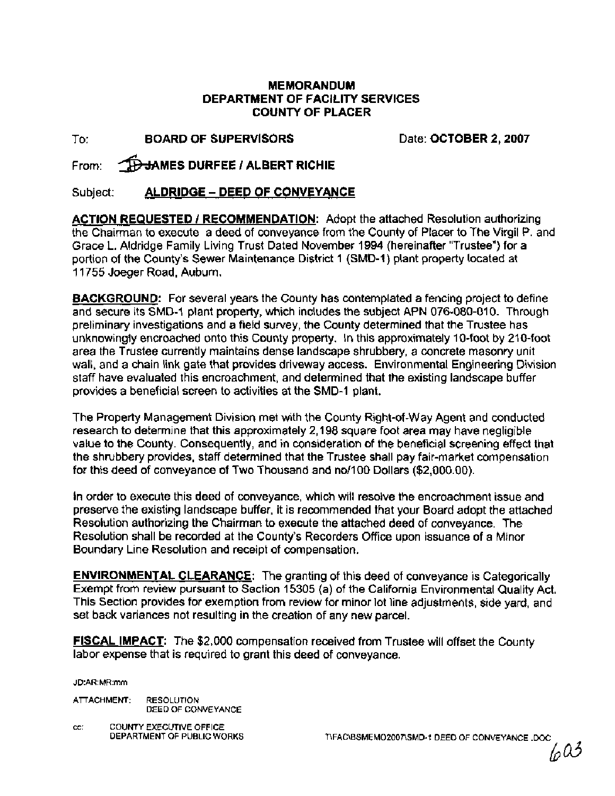#### **MEMORANDUM DEPARTMENT OF FACILITY SERVICES COUNTY OF PLACER**

To: **BOARD OF SUPERVISORS** Date: **OCTOBER 2,2007** 

From: **THE HAMES DURFEE / ALBERT RICHIE** 

Subject: **ALDRIDGE** - **DEED OF CONVEYANCE** 

**ACTION REQUESTED / RECOMMENDATION:** Adopt the attached Resolution authorizing the Chairman to execute a deed of conveyance from the County of Placer to The Virgil P. and Grace L. Aldridge Family Living Trust Dated November 1994 (hereinafter "Trustee") for a portion of the County's Sewer Maintenance District **1** (SMD-I) plant property located at 1 1755 Joeger Road, Auburn.

**BACKGROUND:** For several years the County has contemplated a fencing project to define and secure its SMD-1 plant property, which includes the subject APN 076-080-010. Through preliminary investigations and a field survey, the County determined that the Trustee has unknowingly encroached onto this County property. In this approximately 10-foot by 210-foot area the Trustee currently maintains dense landscape shrubbery, a concrete masonry unit wall, and a chain link gate that provides driveway access. Environmental Engineering Division staff have evaluated this encroachment, and determined that the existing landscape buffer provides a beneficial screen to activities at the SMD-1 plant.

The Property Management Division met with the County Right-of-way Agent and conducted research to determine that this approximately 2,198 square foot area may have negligible value to the County. Consequently, and in consideration of the beneficial screening effect that the shrubbery provides, staff determined that the Trustee shall pay fair-market compensation for this deed of conveyance of Two Thousand and no/100 Dollars (\$2,000.00).

In order to execute this deed of conveyance, which will resolve the encroachment issue and preserve the existing landscape buffer, it is recommended that your Board adopt the attached Resolution authorizing the Chairman to execute the attached deed of conveyance. The Resolution shall be recorded at the County's Recorders Office upon issuance of a Minor Boundary Line Resolution and receipt of compensation.

**ENVIRONMENTAL CLEARANCE:** The granting of this deed of conveyance is Categorically Exempt from review pursuant to Section 15305 (a) of the California Environmental Quality Act. This Section provides for exemption from review for minor lot line adjustments, side yard, and set back variances not resulting in the creation of any new parcel.

**FISCAL IMPACT:** The \$2,000 compensation received from Trustee will offset the County labor expense that is required to grant this deed of conveyance.

JD:AR:MR:mm

ATTACHMENT: RESOLUTION DEED OF CONVEYANCE

**CC: COUNTY EXECUTIVE OFFICE<br>DEPARTMENT OF PUBLIC WORKS** 

TIFACIBSMEMO2007\SMD-1 DEED OF CONVEYANCE .DOC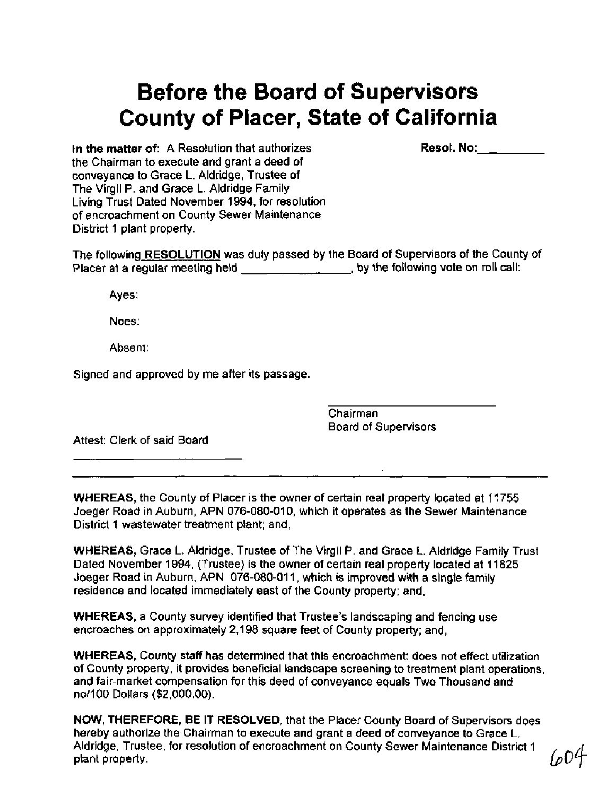# **Before the Board of Supervisors County of Placer, State of California**

Resol. No:

In the matter of: A Resolution that authorizes the Chairman to execute and grant a deed of conveyance to Grace L. Aldridge, Trustee of The Virgil P. and Grace L. Aldridge Family Living Trust Dated November 1994, for resolution of encroachment on County Sewer Maintenance District 1 plant property.

The following RESOLUTION was duly passed by the Board of Supervisors of the County of Placer at a regular meeting held **contained to the following vote on roll call:** 

Ayes:

Noes:

Absent:

Signed and approved by me after its passage.

Chairman Board of Supervisors

Attest: Clerk of said Board

WHEREAS, the County of Placer is the owner of certain real property located at 11755 Joeger Road in Auburn, APN 076-080-010, which it operates as the Sewer Maintenance District 1 wastewater treatment plant; and,

WHEREAS, Grace L. Aldridge, Trustee of The Virgil P. and Grace L. Aldridge Family Trust Dated November 1994, (Trustee) is the owner of certain real property located at 11825 Joeger Road in Auburn, APN 076-080-01 1, which is improved with a single family residence and located immediately east of the County property; and,

WHEREAS, a County survey identified that Trustee's landscaping and fencing use encroaches on approximately 2,198 square feet of County property; and,

WHEREAS, County staff has determined that this encroachment: does not effect utilization of County property, it provides beneficial landscape screening to treatment plant operations, and fair-market compensation for this deed of conveyance equals Two Thousand and no11 00 Dollars (\$2,000.00).

NOW, THEREFORE, BE IT RESOLVED, that the Placer County Board of Supervisors does hereby authorize the Chairman to execute and grant a deed of conveyance to Grace L. Aldridge, Trustee, for resolution of encroachment on County Sewer Maintenance District 1 plant property.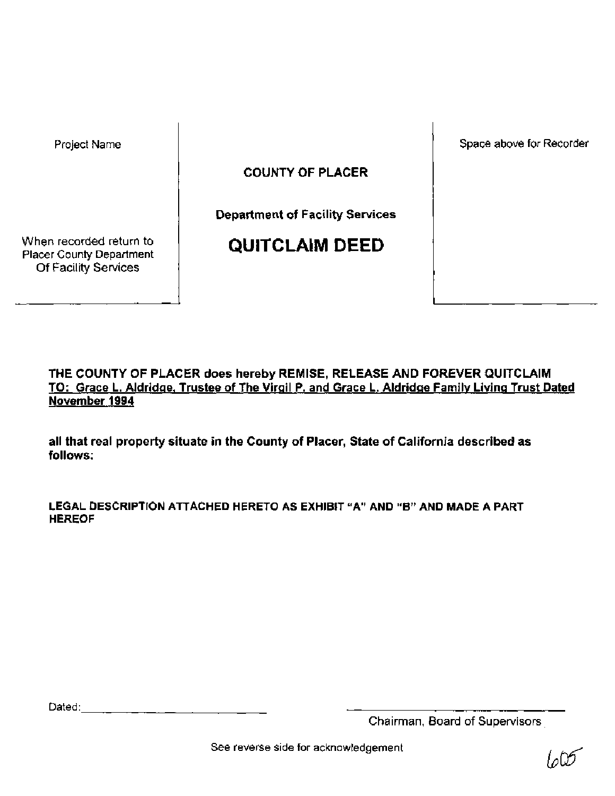Project Name

Space above for Recorder

COUNTY OF PLACER

Department of Facility Services

When recorded return to Placer County Department Of Facility Services

**QUITCLAIM DEED** 

## THE COUNTY OF PLACER does hereby REMISE, RELEASE AND FOREVER QUITCLAIM TO: Grace L. Aldridge, Trustee of The Virgil P. and Grace L. Aldridge Family Living Trust Dated November 1994

all that real property situate in the County of Placer, State of California described as follows:

**LEGAL DESCRIPTION ATTACHED HERETO AS EXHIBIT "A" AND "B" AND MADE A PART HEREOF** 

Dated: with the contract of the contract of the contract of the contract of the contract of the contract of the contract of the contract of the contract of the contract of the contract of the contract of the contract of th

Chairman, Board of Supervisors,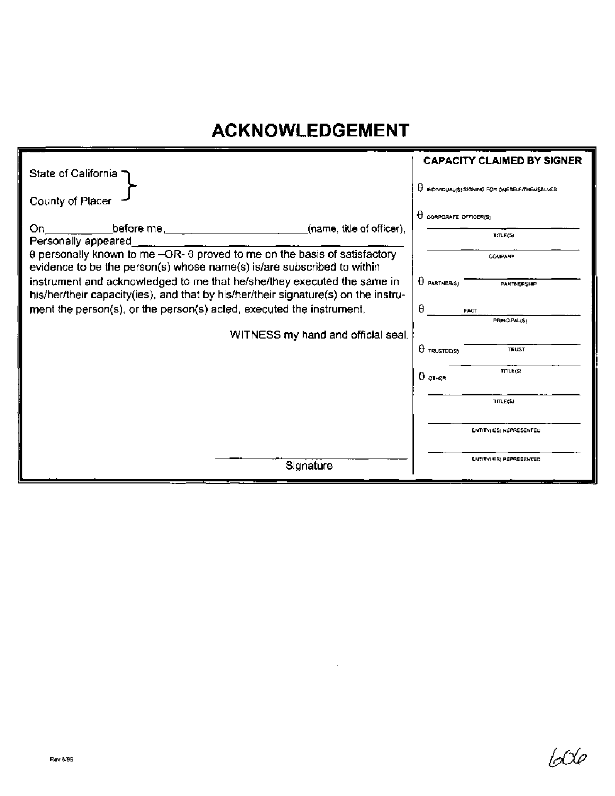# **ACKNOWLEDGEMENT**

|                                                                                                                                                                    | <b>CAPACITY CLAIMED BY SIGNER</b>                      |
|--------------------------------------------------------------------------------------------------------------------------------------------------------------------|--------------------------------------------------------|
| State of California                                                                                                                                                |                                                        |
|                                                                                                                                                                    | <b>U</b> INCIVIDUALISI SIGNING FOR ONE SELF/THEMSELVES |
| County of Placer                                                                                                                                                   |                                                        |
| On.                                                                                                                                                                | $\theta$ corporate officer(S)                          |
| before me, the contract of the contract of the contract of the contract of the contract of the contract of the<br>(name, title of officer),<br>Personally appeared | TfLE(5)                                                |
| θ personally known to me -OR- θ proved to me on the basis of satisfactory<br>evidence to be the person(s) whose name(s) is/are subscribed to within                | COMPANY                                                |
| instrument and acknowledged to me that he/she/they executed the same in<br>his/her/their capacity(ies), and that by his/her/their signature(s) on the instru-      | $\theta$ partner(s)<br>PARTNERSHIP                     |
| ment the person(s), or the person(s) acted, executed the instrument.                                                                                               | A<br><b>FACT</b>                                       |
|                                                                                                                                                                    | <b>PRINCIPALISS</b>                                    |
| WITNESS my hand and official seal.                                                                                                                                 |                                                        |
|                                                                                                                                                                    | $\theta$ TRUSTEE(S)<br><b>TRUST</b>                    |
|                                                                                                                                                                    | TITLE(\$)<br>$\theta$ other                            |
|                                                                                                                                                                    | <b>TITLE(S)</b>                                        |
|                                                                                                                                                                    | ENTITY(IES) REPRESENTED                                |
| Signature                                                                                                                                                          | <b>ENTITYPES) REPRESENTED</b>                          |

 $\ddot{\phantom{a}}$ 

600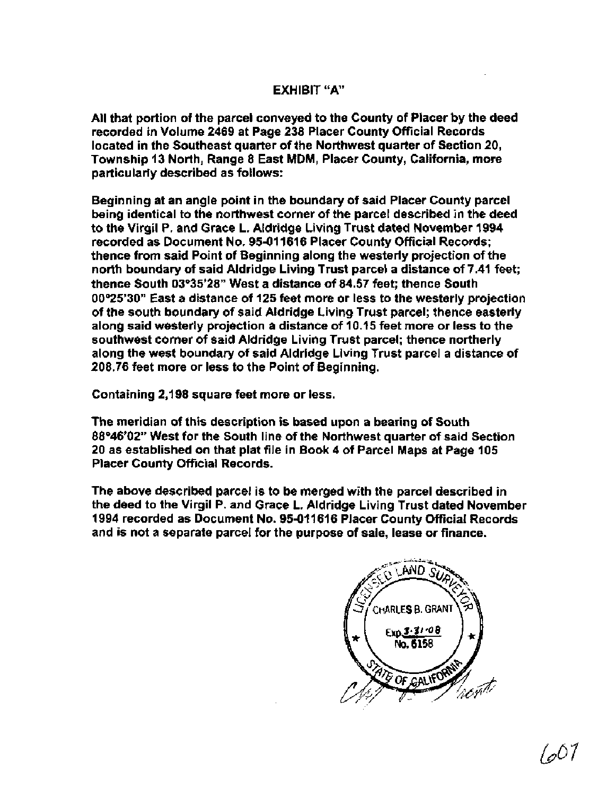### EXHIBIT "A"

All that portion of the parcel conveyed to the County of Placer by the deed recorded in Volume 2469 at Page 238 Placer County Official Records located in the Southeast quarter of the Northwest quarter of Section 20, Township 13 North, Range 8 East MDM, Placer County, California, more particularly described as follows:

Beginning at an angle point in the boundary of said Placer County parcel being identical to the northwest corner of the parcel described in the deed to the Virgil P. and Grace L. Aldridge Living Trust dated November 1994 recorded as Document No. 95-01 1616 Placer County Official Records; thence from said Point of Beginning along the westerly projection of the north boundary of said Aldridge Living Trust parcel a distance of 7.41 feet; thence South 03°35'28" West a distance of 84.57 feet; thence South 00°25'30" East a distance of 125 feet more or less to the westerly projection of the south boundary of said Aldridge Living Trust parcel; thence easterly along said westerly projection a distance of 10.15 feet more or less to the southwest corner of said Aldridge Living Trust parcel; thence northerly along the west boundary of said Aldridge Living Trust parcel a distance of 208.76 feet more or less to the Point of Beginning.

Containing 2,198 square feet more or less.

The meridian of this description is based upon a bearing of South 88'46'02" West for the South line of the Northwest quarter of said Section 20 as established on that plat file in Book 4 of Parcel Maps at Page 105 Placer County Official Records.

The above described parcel is to be merged with the parcel described in the deed to the Virgil P. and Grace L. Aldridge Living Trust dated November 1994 recorded as Document No. 95-011616 Placer County Official Records and is not a separate parcel for the purpose of sale, lease or finance.